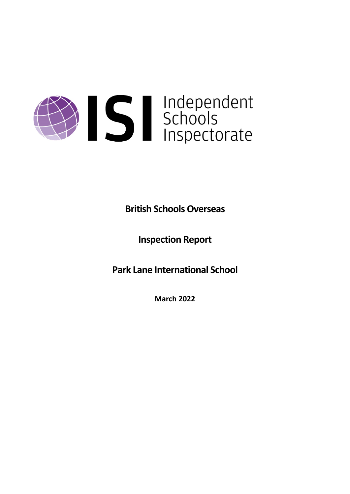

**British Schools Overseas**

**Inspection Report**

**Park Lane International School**

**March 2022**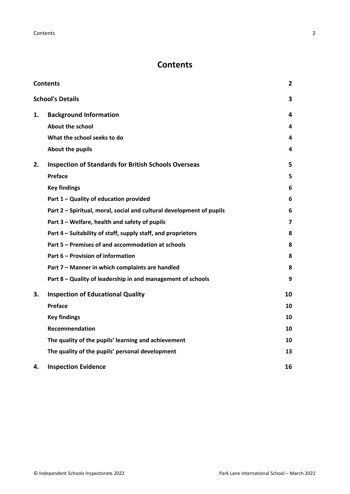# <span id="page-1-0"></span>**Contents**

| <b>Contents</b> |                                                                      | $\mathbf{2}$ |
|-----------------|----------------------------------------------------------------------|--------------|
|                 | <b>School's Details</b>                                              | 3            |
| 1.              | <b>Background Information</b>                                        | 4            |
|                 | <b>About the school</b>                                              | 4            |
|                 | What the school seeks to do                                          | 4            |
|                 | <b>About the pupils</b>                                              | 4            |
| 2.              | <b>Inspection of Standards for British Schools Overseas</b>          | 5            |
|                 | Preface                                                              | 5            |
|                 | <b>Key findings</b>                                                  | 6            |
|                 | Part 1 - Quality of education provided                               | 6            |
|                 | Part 2 - Spiritual, moral, social and cultural development of pupils | 6            |
|                 | Part 3 - Welfare, health and safety of pupils                        | 7            |
|                 | Part 4 - Suitability of staff, supply staff, and proprietors         | 8            |
|                 | Part 5 - Premises of and accommodation at schools                    | 8            |
|                 | Part 6 - Provision of information                                    | 8            |
|                 | Part 7 - Manner in which complaints are handled                      | 8            |
|                 | Part 8 - Quality of leadership in and management of schools          | 9            |
| 3.              | <b>Inspection of Educational Quality</b>                             | 10           |
|                 | Preface                                                              | 10           |
|                 | <b>Key findings</b>                                                  | 10           |
|                 | <b>Recommendation</b>                                                | 10           |
|                 | The quality of the pupils' learning and achievement                  | 10           |
|                 | The quality of the pupils' personal development                      | 13           |
| 4.              | <b>Inspection Evidence</b>                                           | 16           |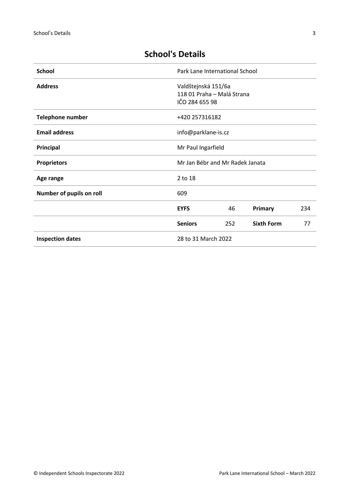# <span id="page-2-0"></span>**School's Details**

| <b>School</b>            | Park Lane International School                                      |                    |                   |     |
|--------------------------|---------------------------------------------------------------------|--------------------|-------------------|-----|
| <b>Address</b>           | Valdštejnská 151/6a<br>118 01 Praha - Malá Strana<br>IČO 284 655 98 |                    |                   |     |
| <b>Telephone number</b>  | +420 257316182                                                      |                    |                   |     |
| <b>Email address</b>     | info@parklane-is.cz                                                 |                    |                   |     |
| Principal                |                                                                     | Mr Paul Ingarfield |                   |     |
| <b>Proprietors</b>       | Mr Jan Bébr and Mr Radek Janata                                     |                    |                   |     |
| Age range                | 2 to 18                                                             |                    |                   |     |
| Number of pupils on roll | 609                                                                 |                    |                   |     |
|                          | <b>EYFS</b>                                                         | 46                 | Primary           | 234 |
|                          | <b>Seniors</b>                                                      | 252                | <b>Sixth Form</b> | 77  |
| <b>Inspection dates</b>  | 28 to 31 March 2022                                                 |                    |                   |     |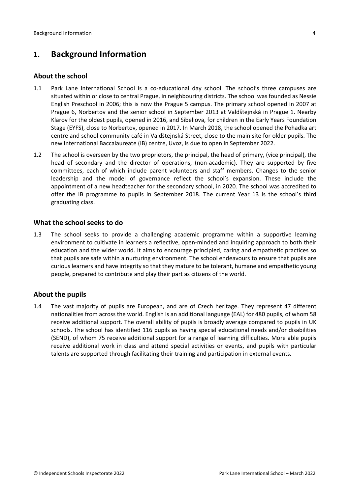## <span id="page-3-0"></span>**1. Background Information**

## <span id="page-3-1"></span>**About the school**

- 1.1 Park Lane International School is a co-educational day school. The school's three campuses are situated within or close to central Prague, in neighbouring districts. The school was founded as Nessie English Preschool in 2006; this is now the Prague 5 campus. The primary school opened in 2007 at Prague 6, Norbertov and the senior school in September 2013 at Valdštejnská in Prague 1. Nearby Klarov for the oldest pupils, opened in 2016, and Sibeliova, for children in the Early Years Foundation Stage (EYFS), close to Norbertov, opened in 2017. In March 2018, the school opened the Pohadka art centre and school community café in Valdštejnská Street, close to the main site for older pupils. The new International Baccalaureate (IB) centre, Uvoz, is due to open in September 2022.
- 1.2 The school is overseen by the two proprietors, the principal, the head of primary, (vice principal), the head of secondary and the director of operations, (non-academic). They are supported by five committees, each of which include parent volunteers and staff members. Changes to the senior leadership and the model of governance reflect the school's expansion. These include the appointment of a new headteacher for the secondary school, in 2020. The school was accredited to offer the IB programme to pupils in September 2018. The current Year 13 is the school's third graduating class.

## <span id="page-3-2"></span>**What the school seeks to do**

1.3 The school seeks to provide a challenging academic programme within a supportive learning environment to cultivate in learners a reflective, open-minded and inquiring approach to both their education and the wider world. It aims to encourage principled, caring and empathetic practices so that pupils are safe within a nurturing environment. The school endeavours to ensure that pupils are curious learners and have integrity so that they mature to be tolerant, humane and empathetic young people, prepared to contribute and play their part as citizens of the world.

## <span id="page-3-3"></span>**About the pupils**

1.4 The vast majority of pupils are European, and are of Czech heritage. They represent 47 different nationalities from across the world. English is an additional language (EAL) for 480 pupils, of whom 58 receive additional support. The overall ability of pupils is broadly average compared to pupils in UK schools. The school has identified 116 pupils as having special educational needs and/or disabilities (SEND), of whom 75 receive additional support for a range of learning difficulties. More able pupils receive additional work in class and attend special activities or events, and pupils with particular talents are supported through facilitating their training and participation in external events.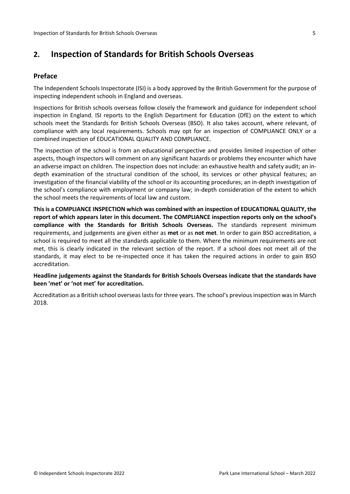## <span id="page-4-0"></span>**2. Inspection of Standards for British Schools Overseas**

## <span id="page-4-1"></span>**Preface**

The Independent Schools Inspectorate (ISI) is a body approved by the British Government for the purpose of inspecting independent schools in England and overseas.

Inspections for British schools overseas follow closely the framework and guidance for independent school inspection in England. ISI reports to the English Department for Education (DfE) on the extent to which schools meet the Standards for British Schools Overseas (BSO). It also takes account, where relevant, of compliance with any local requirements. Schools may opt for an inspection of COMPLIANCE ONLY or a combined inspection of EDUCATIONAL QUALITY AND COMPLIANCE.

The inspection of the school is from an educational perspective and provides limited inspection of other aspects, though inspectors will comment on any significant hazards or problems they encounter which have an adverse impact on children. The inspection does not include: an exhaustive health and safety audit; an indepth examination of the structural condition of the school, its services or other physical features; an investigation of the financial viability of the school or its accounting procedures; an in-depth investigation of the school's compliance with employment or company law; in-depth consideration of the extent to which the school meets the requirements of local law and custom.

**Thisis a COMPLIANCE INSPECTION which was combined with an inspection of EDUCATIONAL QUALITY, the report of which appears later in this document. The COMPLIANCE inspection reports only on the school's compliance with the Standards for British Schools Overseas.** The standards represent minimum requirements, and judgements are given either as **met** or as **not met**. In order to gain BSO accreditation, a school is required to meet all the standards applicable to them. Where the minimum requirements are not met, this is clearly indicated in the relevant section of the report. If a school does not meet all of the standards, it may elect to be re-inspected once it has taken the required actions in order to gain BSO accreditation.

**Headline judgements against the Standards for British Schools Overseas indicate that the standards have been 'met' or 'not met' for accreditation.**

Accreditation as a British school overseas lasts for three years. The school's previous inspection was in March 2018.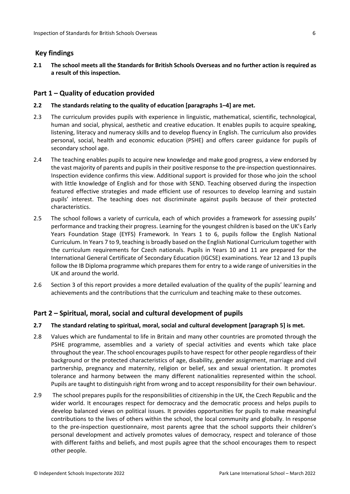### <span id="page-5-0"></span>**Key findings**

2.1 The school meets all the Standards for British Schools Overseas and no further action is required as **a result of this inspection.**

#### <span id="page-5-1"></span>**Part 1 – Quality of education provided**

#### **2.2 The standards relating to the quality of education [paragraphs 1–4] are met.**

- 2.3 The curriculum provides pupils with experience in linguistic, mathematical, scientific, technological, human and social, physical, aesthetic and creative education. It enables pupils to acquire speaking, listening, literacy and numeracy skills and to develop fluency in English. The curriculum also provides personal, social, health and economic education (PSHE) and offers career guidance for pupils of secondary school age.
- 2.4 The teaching enables pupils to acquire new knowledge and make good progress, a view endorsed by the vast majority of parents and pupils in their positive response to the pre-inspection questionnaires. Inspection evidence confirms this view. Additional support is provided for those who join the school with little knowledge of English and for those with SEND. Teaching observed during the inspection featured effective strategies and made efficient use of resources to develop learning and sustain pupils' interest. The teaching does not discriminate against pupils because of their protected characteristics.
- 2.5 The school follows a variety of curricula, each of which provides a framework for assessing pupils' performance and tracking their progress. Learning for the youngest children is based on the UK's Early Years Foundation Stage (EYFS) Framework. In Years 1 to 6, pupils follow the English National Curriculum. In Years 7 to 9, teaching is broadly based on the English National Curriculum together with the curriculum requirements for Czech nationals. Pupils in Years 10 and 11 are prepared for the International General Certificate of Secondary Education (IGCSE) examinations. Year 12 and 13 pupils follow the IB Diploma programme which prepares them for entry to a wide range of universities in the UK and around the world.
- 2.6 Section 3 of this report provides a more detailed evaluation of the quality of the pupils' learning and achievements and the contributions that the curriculum and teaching make to these outcomes.

### <span id="page-5-2"></span>**Part 2 – Spiritual, moral, social and cultural development of pupils**

#### **2.7 The standard relating to spiritual, moral, social and cultural development [paragraph 5] is met.**

- 2.8 Values which are fundamental to life in Britain and many other countries are promoted through the PSHE programme, assemblies and a variety of special activities and events which take place throughout the year. The school encourages pupils to have respect for other people regardless of their background or the protected characteristics of age, disability, gender assignment, marriage and civil partnership, pregnancy and maternity, religion or belief, sex and sexual orientation. It promotes tolerance and harmony between the many different nationalities represented within the school. Pupils are taught to distinguish right from wrong and to accept responsibility for their own behaviour.
- 2.9 The school prepares pupils for the responsibilities of citizenship in the UK, the Czech Republic and the wider world. It encourages respect for democracy and the democratic process and helps pupils to develop balanced views on political issues. It provides opportunities for pupils to make meaningful contributions to the lives of others within the school, the local community and globally. In response to the pre-inspection questionnaire, most parents agree that the school supports their children's personal development and actively promotes values of democracy, respect and tolerance of those with different faiths and beliefs, and most pupils agree that the school encourages them to respect other people.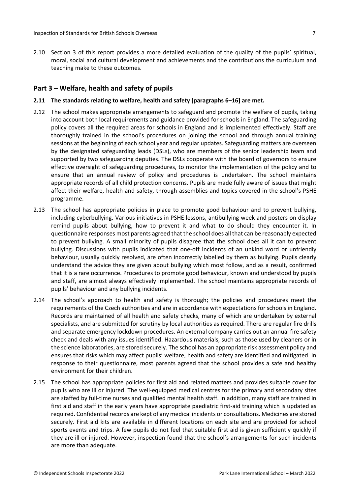2.10 Section 3 of this report provides a more detailed evaluation of the quality of the pupils' spiritual, moral, social and cultural development and achievements and the contributions the curriculum and teaching make to these outcomes.

## <span id="page-6-0"></span>**Part 3 – Welfare, health and safety of pupils**

#### **2.11 The standards relating to welfare, health and safety [paragraphs 6–16] are met.**

- 2.12 The school makes appropriate arrangements to safeguard and promote the welfare of pupils, taking into account both local requirements and guidance provided for schools in England. The safeguarding policy covers all the required areas for schools in England and is implemented effectively. Staff are thoroughly trained in the school's procedures on joining the school and through annual training sessions at the beginning of each school year and regular updates. Safeguarding matters are overseen by the designated safeguarding leads (DSLs), who are members of the senior leadership team and supported by two safeguarding deputies. The DSLs cooperate with the board of governors to ensure effective oversight of safeguarding procedures, to monitor the implementation of the policy and to ensure that an annual review of policy and procedures is undertaken. The school maintains appropriate records of all child protection concerns. Pupils are made fully aware of issues that might affect their welfare, health and safety, through assemblies and topics covered in the school's PSHE programme.
- 2.13 The school has appropriate policies in place to promote good behaviour and to prevent bullying, including cyberbullying. Various initiatives in PSHE lessons, antibullying week and posters on display remind pupils about bullying, how to prevent it and what to do should they encounter it. In questionnaire responses most parents agreed that the school does all that can be reasonably expected to prevent bullying. A small minority of pupils disagree that the school does all it can to prevent bullying. Discussions with pupils indicated that one-off incidents of an unkind word or unfriendly behaviour, usually quickly resolved, are often incorrectly labelled by them as bullying. Pupils clearly understand the advice they are given about bullying which most follow, and as a result, confirmed that it is a rare occurrence. Procedures to promote good behaviour, known and understood by pupils and staff, are almost always effectively implemented. The school maintains appropriate records of pupils' behaviour and any bullying incidents.
- 2.14 The school's approach to health and safety is thorough; the policies and procedures meet the requirements of the Czech authorities and are in accordance with expectations for schools in England. Records are maintained of all health and safety checks, many of which are undertaken by external specialists, and are submitted for scrutiny by local authorities as required. There are regular fire drills and separate emergency lockdown procedures. An external company carries out an annual fire safety check and deals with any issues identified. Hazardous materials, such as those used by cleaners or in the science laboratories, are stored securely. The school has an appropriate risk assessment policy and ensures that risks which may affect pupils' welfare, health and safety are identified and mitigated. In response to their questionnaire, most parents agreed that the school provides a safe and healthy environment for their children.
- 2.15 The school has appropriate policies for first aid and related matters and provides suitable cover for pupils who are ill or injured. The well-equipped medical centres for the primary and secondary sites are staffed by full-time nurses and qualified mental health staff. In addition, many staff are trained in first aid and staff in the early years have appropriate paediatric first-aid training which is updated as required. Confidential records are kept of any medical incidents or consultations. Medicines are stored securely. First aid kits are available in different locations on each site and are provided for school sports events and trips. A few pupils do not feel that suitable first aid is given sufficiently quickly if they are ill or injured. However, inspection found that the school's arrangements for such incidents are more than adequate.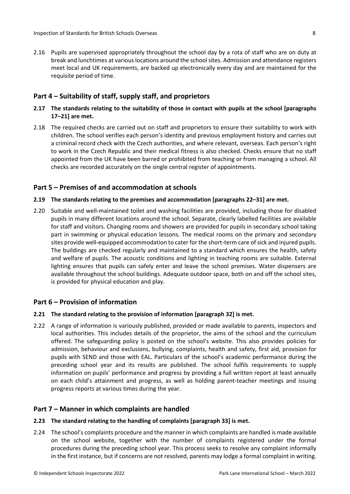2.16 Pupils are supervised appropriately throughout the school day by a rota of staff who are on duty at break and lunchtimes at various locations around the school sites. Admission and attendance registers meet local and UK requirements, are backed up electronically every day and are maintained for the requisite period of time.

## <span id="page-7-0"></span>**Part 4 – Suitability of staff, supply staff, and proprietors**

- **2.17 The standards relating to the suitability of those in contact with pupils at the school [paragraphs 17–21] are met.**
- 2.18 The required checks are carried out on staff and proprietors to ensure their suitability to work with children. The school verifies each person's identity and previous employment history and carries out a criminal record check with the Czech authorities, and where relevant, overseas. Each person's right to work in the Czech Republic and their medical fitness is also checked. Checks ensure that no staff appointed from the UK have been barred or prohibited from teaching or from managing a school. All checks are recorded accurately on the single central register of appointments.

### <span id="page-7-1"></span>**Part 5 – Premises of and accommodation at schools**

#### **2.19 The standards relating to the premises and accommodation [paragraphs 22–31] are met.**

2.20 Suitable and well-maintained toilet and washing facilities are provided, including those for disabled pupils in many different locations around the school. Separate, clearly labelled facilities are available for staff and visitors. Changing rooms and showers are provided for pupils in secondary school taking part in swimming or physical education lessons. The medical rooms on the primary and secondary sites provide well-equipped accommodation to cater for the short-term care of sick and injured pupils. The buildings are checked regularly and maintained to a standard which ensures the health, safety and welfare of pupils. The acoustic conditions and lighting in teaching rooms are suitable. External lighting ensures that pupils can safely enter and leave the school premises. Water dispensers are available throughout the school buildings. Adequate outdoor space, both on and off the school sites, is provided for physical education and play.

#### <span id="page-7-2"></span>**Part 6 – Provision of information**

#### **2.21 The standard relating to the provision of information [paragraph 32] is met.**

2.22 A range of information is variously published, provided or made available to parents, inspectors and local authorities. This includes details of the proprietor, the aims of the school and the curriculum offered. The safeguarding policy is posted on the school's website. This also provides policies for admission, behaviour and exclusions, bullying, complaints, health and safety, first aid, provision for pupils with SEND and those with EAL. Particulars of the school's academic performance during the preceding school year and its results are published. The school fulfils requirements to supply information on pupils' performance and progress by providing a full written report at least annually on each child's attainment and progress, as well as holding parent-teacher meetings and issuing progress reports at various times during the year.

#### <span id="page-7-3"></span>**Part 7 – Manner in which complaints are handled**

#### **2.23 The standard relating to the handling of complaints [paragraph 33] is met.**

2.24 The school's complaints procedure and the manner in which complaints are handled is made available on the school website, together with the number of complaints registered under the formal procedures during the preceding school year. This process seeks to resolve any complaint informally in the first instance, but if concerns are not resolved, parents may lodge a formal complaint in writing.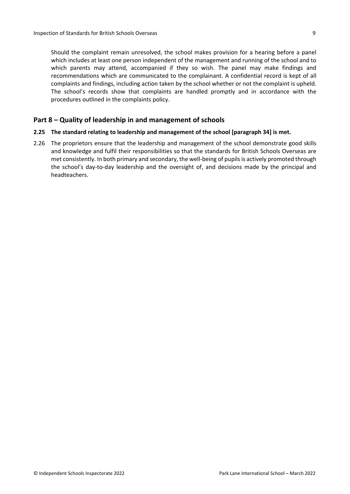Should the complaint remain unresolved, the school makes provision for a hearing before a panel which includes at least one person independent of the management and running of the school and to which parents may attend, accompanied if they so wish. The panel may make findings and recommendations which are communicated to the complainant. A confidential record is kept of all complaints and findings, including action taken by the school whether or not the complaint is upheld. The school's records show that complaints are handled promptly and in accordance with the procedures outlined in the complaints policy.

## <span id="page-8-0"></span>**Part 8 – Quality of leadership in and management of schools**

## **2.25 The standard relating to leadership and management of the school [paragraph 34] is met.**

2.26 The proprietors ensure that the leadership and management of the school demonstrate good skills and knowledge and fulfil their responsibilities so that the standards for British Schools Overseas are met consistently. In both primary and secondary, the well-being of pupils is actively promoted through the school's day-to-day leadership and the oversight of, and decisions made by the principal and headteachers.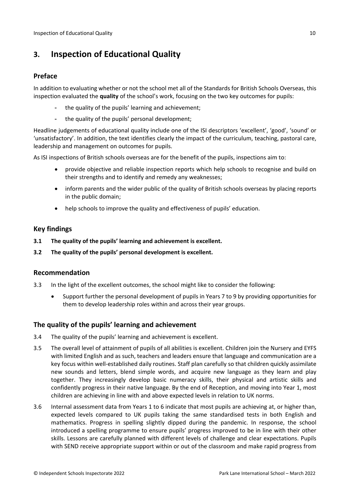# <span id="page-9-0"></span>**3. Inspection of Educational Quality**

## <span id="page-9-1"></span>**Preface**

In addition to evaluating whether or not the school met all of the Standards for British Schools Overseas, this inspection evaluated the **quality** of the school's work, focusing on the two key outcomes for pupils:

- the quality of the pupils' learning and achievement:
- the quality of the pupils' personal development;

Headline judgements of educational quality include one of the ISI descriptors 'excellent', 'good', 'sound' or 'unsatisfactory'. In addition, the text identifies clearly the impact of the curriculum, teaching, pastoral care, leadership and management on outcomes for pupils.

As ISI inspections of British schools overseas are for the benefit of the pupils, inspections aim to:

- provide objective and reliable inspection reports which help schools to recognise and build on their strengths and to identify and remedy any weaknesses;
- inform parents and the wider public of the quality of British schools overseas by placing reports in the public domain;
- help schools to improve the quality and effectiveness of pupils' education.

## <span id="page-9-2"></span>**Key findings**

- **3.1 The quality of the pupils' learning and achievement is excellent.**
- **3.2 The quality of the pupils' personal development is excellent.**

## <span id="page-9-3"></span>**Recommendation**

- 3.3 In the light of the excellent outcomes, the school might like to consider the following:
	- Support further the personal development of pupils in Years 7 to 9 by providing opportunities for them to develop leadership roles within and across their year groups.

## <span id="page-9-4"></span>**The quality of the pupils' learning and achievement**

- 3.4 The quality of the pupils' learning and achievement is excellent.
- 3.5 The overall level of attainment of pupils of all abilities is excellent. Children join the Nursery and EYFS with limited English and as such, teachers and leaders ensure that language and communication are a key focus within well-established daily routines. Staff plan carefully so that children quickly assimilate new sounds and letters, blend simple words, and acquire new language as they learn and play together. They increasingly develop basic numeracy skills, their physical and artistic skills and confidently progress in their native language. By the end of Reception, and moving into Year 1, most children are achieving in line with and above expected levels in relation to UK norms.
- 3.6 Internal assessment data from Years 1 to 6 indicate that most pupils are achieving at, or higher than, expected levels compared to UK pupils taking the same standardised tests in both English and mathematics. Progress in spelling slightly dipped during the pandemic. In response, the school introduced a spelling programme to ensure pupils' progress improved to be in line with their other skills. Lessons are carefully planned with different levels of challenge and clear expectations. Pupils with SEND receive appropriate support within or out of the classroom and make rapid progress from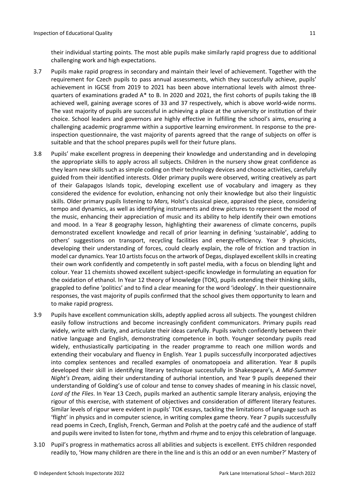their individual starting points. The most able pupils make similarly rapid progress due to additional challenging work and high expectations.

- 3.7 Pupils make rapid progress in secondary and maintain their level of achievement. Together with the requirement for Czech pupils to pass annual assessments, which they successfully achieve, pupils' achievement in IGCSE from 2019 to 2021 has been above international levels with almost threequarters of examinations graded A\* to B. In 2020 and 2021, the first cohorts of pupils taking the IB achieved well, gaining average scores of 33 and 37 respectively, which is above world-wide norms. The vast majority of pupils are successful in achieving a place at the university or institution of their choice. School leaders and governors are highly effective in fulfilling the school's aims, ensuring a challenging academic programme within a supportive learning environment. In response to the preinspection questionnaire, the vast majority of parents agreed that the range of subjects on offer is suitable and that the school prepares pupils well for their future plans.
- 3.8 Pupils' make excellent progress in deepening their knowledge and understanding and in developing the appropriate skills to apply across all subjects. Children in the nursery show great confidence as they learn new skills such as simple coding on their technology devices and choose activities, carefully guided from their identified interests. Older primary pupils were observed, writing creatively as part of their Galapagos Islands topic, developing excellent use of vocabulary and imagery as they considered the evidence for evolution, enhancing not only their knowledge but also their linguistic skills. Older primary pupils listening to *Mars,* Holst's classical piece, appraised the piece, considering tempo and dynamics, as well as identifying instruments and drew pictures to represent the mood of the music, enhancing their appreciation of music and its ability to help identify their own emotions and mood. In a Year 8 geography lesson, highlighting their awareness of climate concerns, pupils demonstrated excellent knowledge and recall of prior learning in defining 'sustainable', adding to others' suggestions on transport, recycling facilities and energy-efficiency. Year 9 physicists, developing their understanding of forces, could clearly explain, the role of friction and traction in model car dynamics. Year 10 artists focus on the artwork of Degas, displayed excellent skills in creating their own work confidently and competently in soft pastel media, with a focus on blending light and colour. Year 11 chemists showed excellent subject-specific knowledge in formulating an equation for the oxidation of ethanol. In Year 12 theory of knowledge (TOK), pupils extending their thinking skills, grappled to define 'politics' and to find a clear meaning for the word 'ideology'. In their questionnaire responses, the vast majority of pupils confirmed that the school gives them opportunity to learn and to make rapid progress.
- 3.9 Pupils have excellent communication skills, adeptly applied across all subjects. The youngest children easily follow instructions and become increasingly confident communicators. Primary pupils read widely, write with clarity, and articulate their ideas carefully. Pupils switch confidently between their native language and English, demonstrating competence in both. Younger secondary pupils read widely, enthusiastically participating in the reader programme to reach one million words and extending their vocabulary and fluency in English. Year 1 pupils successfully incorporated adjectives into complex sentences and recalled examples of onomatopoeia and alliteration. Year 8 pupils developed their skill in identifying literary technique successfully in Shakespeare's, *A Mid-Summer Night's Dream,* aiding their understanding of authorial intention*,* and Year 9 pupils deepened their understanding of Golding's use of colour and tense to convey shades of meaning in his classic novel, *Lord of the Flies*. In Year 13 Czech, pupils marked an authentic sample literary analysis, enjoying the rigour of this exercise, with statement of objectives and consideration of different literary features. Similar levels of rigour were evident in pupils' TOK essays, tackling the limitations of language such as 'flight' in physics and in computer science, in writing complex game theory. Year 7 pupils successfully read poems in Czech, English, French, German and Polish at the poetry café and the audience of staff and pupils were invited to listen for tone, rhythm and rhyme and to enjoy this celebration of language.
- 3.10 Pupil's progress in mathematics across all abilities and subjects is excellent. EYFS children responded readily to, 'How many children are there in the line and is this an odd or an even number?' Mastery of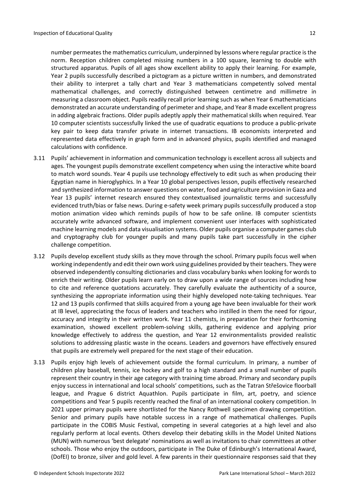number permeatesthe mathematics curriculum, underpinned by lessons where regular practice isthe norm. Reception children completed missing numbers in a 100 square, learning to double with structured apparatus. Pupils of all ages show excellent ability to apply their learning. For example, Year 2 pupils successfully described a pictogram as a picture written in numbers, and demonstrated their ability to interpret a tally chart and Year 3 mathematicians competently solved mental mathematical challenges, and correctly distinguished between centimetre and millimetre in measuring a classroom object. Pupils readily recall prior learning such as when Year 6 mathematicians demonstrated an accurate understanding of perimeter and shape, and Year 8 made excellent progress in adding algebraic fractions. Older pupils adeptly apply their mathematical skills when required. Year 10 computer scientists successfully linked the use of quadratic equations to produce a public-private key pair to keep data transfer private in internet transactions. IB economists interpreted and represented data effectively in graph form and in advanced physics, pupils identified and managed calculations with confidence.

- 3.11 Pupils' achievement in information and communication technology is excellent across all subjects and ages. The youngest pupils demonstrate excellent competency when using the interactive white board to match word sounds. Year 4 pupils use technology effectively to edit such as when producing their Egyptian name in hieroglyphics. In a Year 10 global perspectives lesson, pupils effectively researched and synthesized information to answer questions on water, food and agriculture provision in Gaza and Year 13 pupils' internet research ensured they contextualised journalistic terms and successfully evidenced truth/bias or false news. During e-safety week primary pupils successfully produced a stop motion animation video which reminds pupils of how to be safe online. IB computer scientists accurately write advanced software, and implement convenient user interfaces with sophisticated machine learning models and data visualisation systems. Older pupils organise a computer games club and cryptography club for younger pupils and many pupils take part successfully in the cipher challenge competition.
- 3.12 Pupils develop excellent study skills as they move through the school. Primary pupils focus well when working independently and edit their own work using guidelines provided by their teachers. They were observed independently consulting dictionaries and class vocabulary banks when looking for words to enrich their writing. Older pupils learn early on to draw upon a wide range of sources including how to cite and reference quotations accurately. They carefully evaluate the authenticity of a source, synthesizing the appropriate information using their highly developed note-taking techniques. Year 12 and 13 pupils confirmed that skills acquired from a young age have been invaluable for their work at IB level, appreciating the focus of leaders and teachers who instilled in them the need for rigour, accuracy and integrity in their written work. Year 11 chemists, in preparation for their forthcoming examination, showed excellent problem-solving skills, gathering evidence and applying prior knowledge effectively to address the question, and Year 12 environmentalists provided realistic solutions to addressing plastic waste in the oceans. Leaders and governors have effectively ensured that pupils are extremely well prepared for the next stage of their education.
- 3.13 Pupils enjoy high levels of achievement outside the formal curriculum. In primary, a number of children play baseball, tennis, ice hockey and golf to a high standard and a small number of pupils represent their country in their age category with training time abroad. Primary and secondary pupils enjoy success in international and local schools' competitions, such as the Tatran Střešovice floorball league, and Prague 6 district Aquathlon. Pupils participate in film, art, poetry, and science competitions and Year 5 pupils recently reached the final of an international cookery competition. In 2021 upper primary pupils were shortlisted for the Nancy Rothwell specimen drawing competition. Senior and primary pupils have notable success in a range of mathematical challenges. Pupils participate in the COBIS Music Festival, competing in several categories at a high level and also regularly perform at local events. Others develop their debating skills in the Model United Nations (MUN) with numerous 'best delegate' nominations as well as invitations to chair committees at other schools. Those who enjoy the outdoors, participate in The Duke of Edinburgh's International Award, (DofEI) to bronze, silver and gold level. A few parents in their questionnaire responses said that they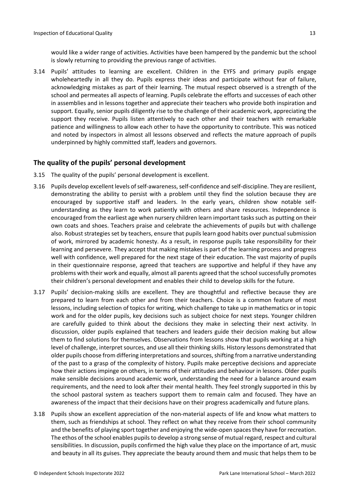3.14 Pupils' attitudes to learning are excellent. Children in the EYFS and primary pupils engage wholeheartedly in all they do. Pupils express their ideas and participate without fear of failure, acknowledging mistakes as part of their learning. The mutual respect observed is a strength of the school and permeates all aspects of learning. Pupils celebrate the efforts and successes of each other in assemblies and in lessons together and appreciate their teachers who provide both inspiration and support. Equally, senior pupils diligently rise to the challenge of their academic work, appreciating the support they receive. Pupils listen attentively to each other and their teachers with remarkable patience and willingness to allow each other to have the opportunity to contribute. This was noticed and noted by inspectors in almost all lessons observed and reflects the mature approach of pupils underpinned by highly committed staff, leaders and governors.

## <span id="page-12-0"></span>**The quality of the pupils' personal development**

- 3.15 The quality of the pupils' personal development is excellent.
- 3.16 Pupils develop excellent levels of self-awareness, self-confidence and self-discipline. They are resilient, demonstrating the ability to persist with a problem until they find the solution because they are encouraged by supportive staff and leaders. In the early years, children show notable selfunderstanding as they learn to work patiently with others and share resources. Independence is encouraged from the earliest age when nursery children learn important tasks such as putting on their own coats and shoes. Teachers praise and celebrate the achievements of pupils but with challenge also. Robust strategies set by teachers, ensure that pupils learn good habits over punctual submission of work, mirrored by academic honesty. As a result, in response pupils take responsibility for their learning and persevere. They accept that making mistakes is part of the learning process and progress well with confidence, well prepared for the next stage of their education. The vast majority of pupils in their questionnaire response, agreed that teachers are supportive and helpful if they have any problems with their work and equally, almost all parents agreed that the schoolsuccessfully promotes their children's personal development and enables their child to develop skills for the future.
- 3.17 Pupils' decision-making skills are excellent. They are thoughtful and reflective because they are prepared to learn from each other and from their teachers. Choice is a common feature of most lessons, including selection of topics for writing, which challenge to take up in mathematics or in topic work and for the older pupils, key decisions such as subject choice for next steps. Younger children are carefully guided to think about the decisions they make in selecting their next activity. In discussion, older pupils explained that teachers and leaders guide their decision making but allow them to find solutions for themselves. Observations from lessons show that pupils working at a high level of challenge, interpret sources, and use all their thinking skills. History lessons demonstrated that older pupils choose from differing interpretations and sources, shifting from a narrative understanding of the past to a grasp of the complexity of history. Pupils make perceptive decisions and appreciate how their actions impinge on others, in terms of their attitudes and behaviour in lessons. Older pupils make sensible decisions around academic work, understanding the need for a balance around exam requirements, and the need to look after their mental health. They feel strongly supported in this by the school pastoral system as teachers support them to remain calm and focused. They have an awareness of the impact that their decisions have on their progress academically and future plans.
- 3.18 Pupils show an excellent appreciation of the non-material aspects of life and know what matters to them, such as friendships at school. They reflect on what they receive from their school community and the benefits of playing sport together and enjoying the wide-open spaces they have for recreation. The ethos of the school enables pupils to develop a strong sense of mutual regard, respect and cultural sensibilities. In discussion, pupils confirmed the high value they place on the importance of art, music and beauty in all its guises. They appreciate the beauty around them and music that helps them to be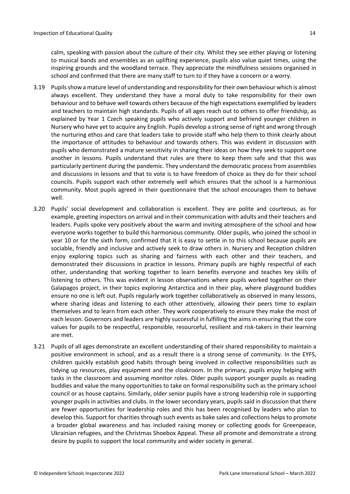calm, speaking with passion about the culture of their city. Whilst they see either playing or listening to musical bands and ensembles as an uplifting experience, pupils also value quiet times, using the inspiring grounds and the woodland terrace. They appreciate the mindfulness sessions organised in school and confirmed that there are many staff to turn to if they have a concern or a worry.

- 3.19 Pupilsshow a mature level of understanding and responsibility fortheir own behaviour which is almost always excellent. They understand they have a moral duty to take responsibility for their own behaviour and to behave well towards others because of the high expectations exemplified by leaders and teachers to maintain high standards. Pupils of all ages reach out to others to offer friendship, as explained by Year 1 Czech speaking pupils who actively support and befriend younger children in Nursery who have yet to acquire any English. Pupils develop a strong sense of right and wrong through the nurturing ethos and care that leaders take to provide staff who help them to think clearly about the importance of attitudes to behaviour and towards others. This was evident in discussion with pupils who demonstrated a mature sensitivity in sharing their ideas on how they seek to support one another in lessons. Pupils understand that rules are there to keep them safe and that this was particularly pertinent during the pandemic. They understand the democratic process from assemblies and discussions in lessons and that to vote is to have freedom of choice as they do for their school councils. Pupils support each other extremely well which ensures that the school is a harmonious community. Most pupils agreed in their questionnaire that the school encourages them to behave well.
- 3.20 Pupils' social development and collaboration is excellent. They are polite and courteous, as for example, greeting inspectors on arrival and in their communication with adults and their teachers and leaders. Pupils spoke very positively about the warm and inviting atmosphere of the school and how everyone works together to build this harmonious community. Older pupils, who joined the school in year 10 or for the sixth form, confirmed that it is easy to settle in to this school because pupils are sociable, friendly and inclusive and actively seek to draw others in. Nursery and Reception children enjoy exploring topics such as sharing and fairness with each other and their teachers, and demonstrated their discussions in practice in lessons. Primary pupils are highly respectful of each other, understanding that working together to learn benefits everyone and teaches key skills of listening to others. This was evident in lesson observations where pupils worked together on their Galapagos project, in their topics exploring Antarctica and in their play, where playground buddies ensure no one is left out. Pupils regularly work together collaboratively as observed in many lessons, where sharing ideas and listening to each other attentively, allowing their peers time to explain themselves and to learn from each other. They work cooperatively to ensure they make the most of each lesson. Governors and leaders are highly successful in fulfilling the aims in ensuring that the core values for pupils to be respectful, responsible, resourceful, resilient and risk-takers in their learning are met.
- 3.21 Pupils of all ages demonstrate an excellent understanding of their shared responsibility to maintain a positive environment in school, and as a result there is a strong sense of community. In the EYFS, children quickly establish good habits through being involved in collective responsibilities such as tidying up resources, play equipment and the cloakroom. In the primary, pupils enjoy helping with tasks in the classroom and assuming monitor roles. Older pupils support younger pupils as reading buddies and value the many opportunities to take on formal responsibility such as the primary school council or as house captains. Similarly, older senior pupils have a strong leadership role in supporting younger pupils in activities and clubs. In the lower secondary years, pupils said in discussion that there are fewer opportunities for leadership roles and this has been recognised by leaders who plan to develop this. Support for charities through such events as bake sales and collections helps to promote a broader global awareness and has included raising money or collecting goods for Greenpeace, Ukrainian refugees, and the Christmas Shoebox Appeal. These all promote and demonstrate a strong desire by pupils to support the local community and wider society in general.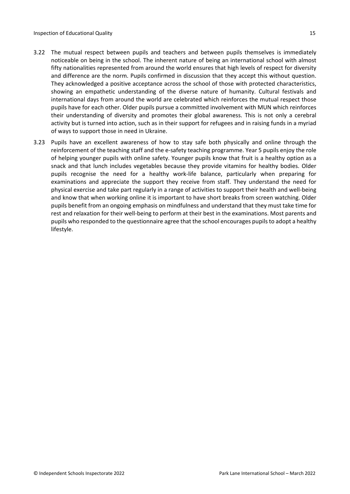- 3.22 The mutual respect between pupils and teachers and between pupils themselves is immediately noticeable on being in the school. The inherent nature of being an international school with almost fifty nationalities represented from around the world ensures that high levels of respect for diversity and difference are the norm. Pupils confirmed in discussion that they accept this without question. They acknowledged a positive acceptance across the school of those with protected characteristics, showing an empathetic understanding of the diverse nature of humanity. Cultural festivals and international days from around the world are celebrated which reinforces the mutual respect those pupils have for each other. Older pupils pursue a committed involvement with MUN which reinforces their understanding of diversity and promotes their global awareness. This is not only a cerebral activity but is turned into action, such as in their support for refugees and in raising funds in a myriad of ways to support those in need in Ukraine.
- 3.23 Pupils have an excellent awareness of how to stay safe both physically and online through the reinforcement of the teaching staff and the e-safety teaching programme. Year 5 pupils enjoy the role of helping younger pupils with online safety. Younger pupils know that fruit is a healthy option as a snack and that lunch includes vegetables because they provide vitamins for healthy bodies. Older pupils recognise the need for a healthy work-life balance, particularly when preparing for examinations and appreciate the support they receive from staff. They understand the need for physical exercise and take part regularly in a range of activities to support their health and well-being and know that when working online it is important to have short breaks from screen watching. Older pupils benefit from an ongoing emphasis on mindfulness and understand that they must take time for rest and relaxation for their well-being to perform at their best in the examinations. Most parents and pupils who responded to the questionnaire agree that the school encourages pupils to adopt a healthy lifestyle.